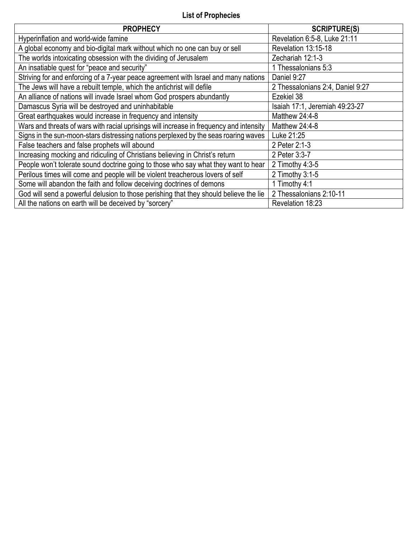# **List of Prophecies**

| <b>PROPHECY</b>                                                                         | <b>SCRIPTURE(S)</b>              |
|-----------------------------------------------------------------------------------------|----------------------------------|
| Hyperinflation and world-wide famine                                                    | Revelation 6:5-8, Luke 21:11     |
| A global economy and bio-digital mark without which no one can buy or sell              | Revelation 13:15-18              |
| The worlds intoxicating obsession with the dividing of Jerusalem                        | Zechariah 12:1-3                 |
| An insatiable quest for "peace and security"                                            | 1 Thessalonians 5:3              |
| Striving for and enforcing of a 7-year peace agreement with Israel and many nations     | Daniel 9:27                      |
| The Jews will have a rebuilt temple, which the antichrist will defile                   | 2 Thessalonians 2:4, Daniel 9:27 |
| An alliance of nations will invade Israel whom God prospers abundantly                  | Ezekiel 38                       |
| Damascus Syria will be destroyed and uninhabitable                                      | Isaiah 17:1, Jeremiah 49:23-27   |
| Great earthquakes would increase in frequency and intensity                             | Matthew 24:4-8                   |
| Wars and threats of wars with racial uprisings will increase in frequency and intensity | Matthew 24:4-8                   |
| Signs in the sun-moon-stars distressing nations perplexed by the seas roaring waves     | Luke 21:25                       |
| False teachers and false prophets will abound                                           | 2 Peter 2:1-3                    |
| Increasing mocking and ridiculing of Christians believing in Christ's return            | 2 Peter 3:3-7                    |
| People won't tolerate sound doctrine going to those who say what they want to hear      | 2 Timothy 4:3-5                  |
| Perilous times will come and people will be violent treacherous lovers of self          | 2 Timothy 3:1-5                  |
| Some will abandon the faith and follow deceiving doctrines of demons                    | 1 Timothy 4:1                    |
| God will send a powerful delusion to those perishing that they should believe the lie   | 2 Thessalonians 2:10-11          |
| All the nations on earth will be deceived by "sorcery"                                  | Revelation 18:23                 |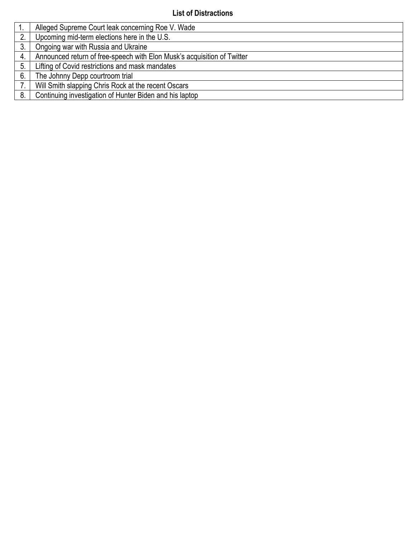# **List of Distractions**

|    | Alleged Supreme Court leak concerning Roe V. Wade                       |
|----|-------------------------------------------------------------------------|
| 2. | Upcoming mid-term elections here in the U.S.                            |
|    | Ongoing war with Russia and Ukraine                                     |
| 4. | Announced return of free-speech with Elon Musk's acquisition of Twitter |
| 5. | Lifting of Covid restrictions and mask mandates                         |
| 6. | The Johnny Depp courtroom trial                                         |
|    | Will Smith slapping Chris Rock at the recent Oscars                     |
| 8. | Continuing investigation of Hunter Biden and his laptop                 |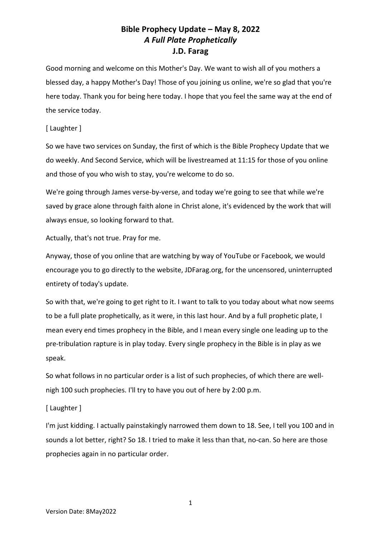Good morning and welcome on this Mother's Day. We want to wish all of you mothers a blessed day, a happy Mother's Day! Those of you joining us online, we're so glad that you're here today. Thank you for being here today. I hope that you feel the same way at the end of the service today.

### [ Laughter ]

So we have two services on Sunday, the first of which is the Bible Prophecy Update that we do weekly. And Second Service, which will be livestreamed at 11:15 for those of you online and those of you who wish to stay, you're welcome to do so.

We're going through James verse-by-verse, and today we're going to see that while we're saved by grace alone through faith alone in Christ alone, it's evidenced by the work that will always ensue, so looking forward to that.

Actually, that's not true. Pray for me.

Anyway, those of you online that are watching by way of YouTube or Facebook, we would encourage you to go directly to the website, JDFarag.org, for the uncensored, uninterrupted entirety of today's update.

So with that, we're going to get right to it. I want to talk to you today about what now seems to be a full plate prophetically, as it were, in this last hour. And by a full prophetic plate, I mean every end times prophecy in the Bible, and I mean every single one leading up to the pre-tribulation rapture is in play today. Every single prophecy in the Bible is in play as we speak.

So what follows in no particular order is a list of such prophecies, of which there are wellnigh 100 such prophecies. I'll try to have you out of here by 2:00 p.m.

### [ Laughter ]

I'm just kidding. I actually painstakingly narrowed them down to 18. See, I tell you 100 and in sounds a lot better, right? So 18. I tried to make it less than that, no-can. So here are those prophecies again in no particular order.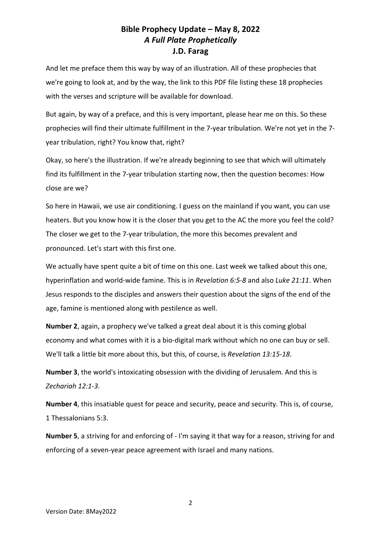And let me preface them this way by way of an illustration. All of these prophecies that we're going to look at, and by the way, the link to this PDF file listing these 18 prophecies with the verses and scripture will be available for download.

But again, by way of a preface, and this is very important, please hear me on this. So these prophecies will find their ultimate fulfillment in the 7-year tribulation. We're not yet in the 7 year tribulation, right? You know that, right?

Okay, so here's the illustration. If we're already beginning to see that which will ultimately find its fulfillment in the 7-year tribulation starting now, then the question becomes: How close are we?

So here in Hawaii, we use air conditioning. I guess on the mainland if you want, you can use heaters. But you know how it is the closer that you get to the AC the more you feel the cold? The closer we get to the 7-year tribulation, the more this becomes prevalent and pronounced. Let's start with this first one.

We actually have spent quite a bit of time on this one. Last week we talked about this one, hyperinflation and world-wide famine. This is in *Revelation 6:5-8* and also *Luke 21:11*. When Jesus responds to the disciples and answers their question about the signs of the end of the age, famine is mentioned along with pestilence as well.

**Number 2**, again, a prophecy we've talked a great deal about it is this coming global economy and what comes with it is a bio-digital mark without which no one can buy or sell. We'll talk a little bit more about this, but this, of course, is *Revelation 13:15-18*.

**Number 3**, the world's intoxicating obsession with the dividing of Jerusalem. And this is *Zechariah 12:1-3*.

**Number 4**, this insatiable quest for peace and security, peace and security. This is, of course, 1 Thessalonians 5:3.

**Number 5**, a striving for and enforcing of - I'm saying it that way for a reason, striving for and enforcing of a seven-year peace agreement with Israel and many nations.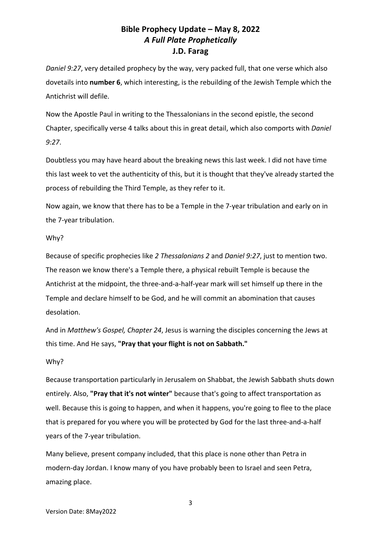*Daniel 9:27*, very detailed prophecy by the way, very packed full, that one verse which also dovetails into **number 6**, which interesting, is the rebuilding of the Jewish Temple which the Antichrist will defile.

Now the Apostle Paul in writing to the Thessalonians in the second epistle, the second Chapter, specifically verse 4 talks about this in great detail, which also comports with *Daniel 9:27*.

Doubtless you may have heard about the breaking news this last week. I did not have time this last week to vet the authenticity of this, but it is thought that they've already started the process of rebuilding the Third Temple, as they refer to it.

Now again, we know that there has to be a Temple in the 7-year tribulation and early on in the 7-year tribulation.

#### Why?

Because of specific prophecies like *2 Thessalonians 2* and *Daniel 9:27*, just to mention two. The reason we know there's a Temple there, a physical rebuilt Temple is because the Antichrist at the midpoint, the three-and-a-half-year mark will set himself up there in the Temple and declare himself to be God, and he will commit an abomination that causes desolation.

And in *Matthew's Gospel, Chapter 24*, Jesus is warning the disciples concerning the Jews at this time. And He says, **"Pray that your flight is not on Sabbath."**

### Why?

Because transportation particularly in Jerusalem on Shabbat, the Jewish Sabbath shuts down entirely. Also, **"Pray that it's not winter"** because that's going to affect transportation as well. Because this is going to happen, and when it happens, you're going to flee to the place that is prepared for you where you will be protected by God for the last three-and-a-half years of the 7-year tribulation.

Many believe, present company included, that this place is none other than Petra in modern-day Jordan. I know many of you have probably been to Israel and seen Petra, amazing place.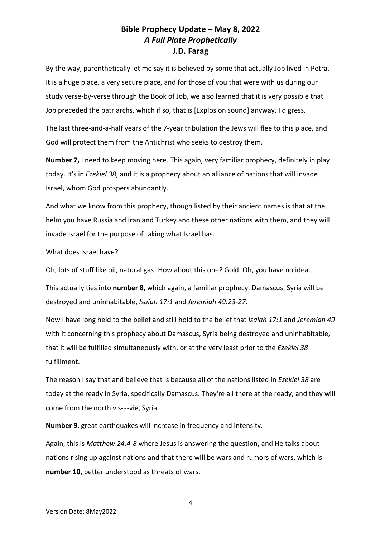By the way, parenthetically let me say it is believed by some that actually Job lived in Petra. It is a huge place, a very secure place, and for those of you that were with us during our study verse-by-verse through the Book of Job, we also learned that it is very possible that Job preceded the patriarchs, which if so, that is [Explosion sound] anyway, I digress.

The last three-and-a-half years of the 7-year tribulation the Jews will flee to this place, and God will protect them from the Antichrist who seeks to destroy them.

**Number 7,** I need to keep moving here. This again, very familiar prophecy, definitely in play today. It's in *Ezekiel 38*, and it is a prophecy about an alliance of nations that will invade Israel, whom God prospers abundantly.

And what we know from this prophecy, though listed by their ancient names is that at the helm you have Russia and Iran and Turkey and these other nations with them, and they will invade Israel for the purpose of taking what Israel has.

What does Israel have?

Oh, lots of stuff like oil, natural gas! How about this one? Gold. Oh, you have no idea.

This actually ties into **number 8**, which again, a familiar prophecy. Damascus, Syria will be destroyed and uninhabitable, *Isaiah 17:1* and *Jeremiah 49:23-27*.

Now I have long held to the belief and still hold to the belief that *Isaiah 17:1* and *Jeremiah 49* with it concerning this prophecy about Damascus, Syria being destroyed and uninhabitable, that it will be fulfilled simultaneously with, or at the very least prior to the *Ezekiel 38*  fulfillment.

The reason I say that and believe that is because all of the nations listed in *Ezekiel 38* are today at the ready in Syria, specifically Damascus. They're all there at the ready, and they will come from the north vis-a-vie, Syria.

**Number 9**, great earthquakes will increase in frequency and intensity.

Again, this is *Matthew 24:4-8* where Jesus is answering the question, and He talks about nations rising up against nations and that there will be wars and rumors of wars, which is **number 10**, better understood as threats of wars.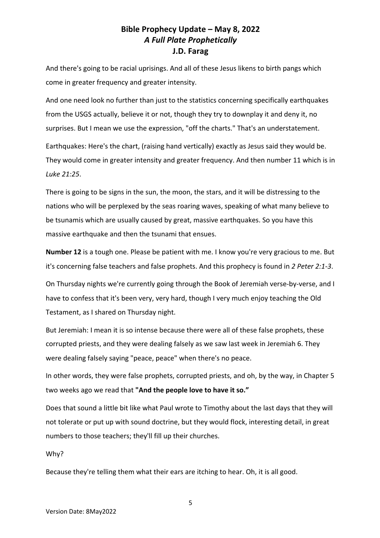And there's going to be racial uprisings. And all of these Jesus likens to birth pangs which come in greater frequency and greater intensity.

And one need look no further than just to the statistics concerning specifically earthquakes from the USGS actually, believe it or not, though they try to downplay it and deny it, no surprises. But I mean we use the expression, "off the charts." That's an understatement.

Earthquakes: Here's the chart, (raising hand vertically) exactly as Jesus said they would be. They would come in greater intensity and greater frequency. And then number 11 which is in *Luke 21:25*.

There is going to be signs in the sun, the moon, the stars, and it will be distressing to the nations who will be perplexed by the seas roaring waves, speaking of what many believe to be tsunamis which are usually caused by great, massive earthquakes. So you have this massive earthquake and then the tsunami that ensues.

**Number 12** is a tough one. Please be patient with me. I know you're very gracious to me. But it's concerning false teachers and false prophets. And this prophecy is found in *2 Peter 2:1-3*.

On Thursday nights we're currently going through the Book of Jeremiah verse-by-verse, and I have to confess that it's been very, very hard, though I very much enjoy teaching the Old Testament, as I shared on Thursday night.

But Jeremiah: I mean it is so intense because there were all of these false prophets, these corrupted priests, and they were dealing falsely as we saw last week in Jeremiah 6. They were dealing falsely saying "peace, peace" when there's no peace.

In other words, they were false prophets, corrupted priests, and oh, by the way, in Chapter 5 two weeks ago we read that **"And the people love to have it so."**

Does that sound a little bit like what Paul wrote to Timothy about the last days that they will not tolerate or put up with sound doctrine, but they would flock, interesting detail, in great numbers to those teachers; they'll fill up their churches.

Why?

Because they're telling them what their ears are itching to hear. Oh, it is all good.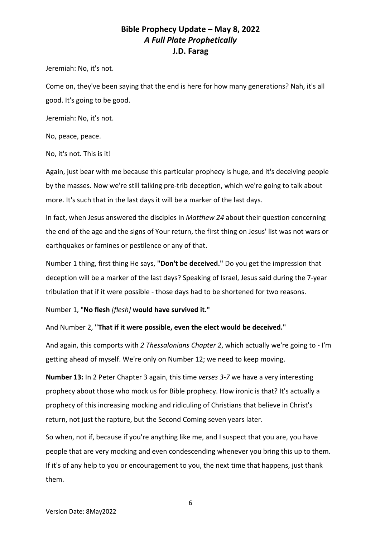Jeremiah: No, it's not.

Come on, they've been saying that the end is here for how many generations? Nah, it's all good. It's going to be good.

Jeremiah: No, it's not.

No, peace, peace.

No, it's not. This is it!

Again, just bear with me because this particular prophecy is huge, and it's deceiving people by the masses. Now we're still talking pre-trib deception, which we're going to talk about more. It's such that in the last days it will be a marker of the last days.

In fact, when Jesus answered the disciples in *Matthew 24* about their question concerning the end of the age and the signs of Your return, the first thing on Jesus' list was not wars or earthquakes or famines or pestilence or any of that.

Number 1 thing, first thing He says, **"Don't be deceived."** Do you get the impression that deception will be a marker of the last days? Speaking of Israel, Jesus said during the 7-year tribulation that if it were possible - those days had to be shortened for two reasons.

Number 1, "**No flesh** *[flesh]* **would have survived it."**

And Number 2, **"That if it were possible, even the elect would be deceived."**

And again, this comports with *2 Thessalonians Chapter 2*, which actually we're going to - I'm getting ahead of myself. We're only on Number 12; we need to keep moving.

**Number 13:** In 2 Peter Chapter 3 again, this time *verses 3-7* we have a very interesting prophecy about those who mock us for Bible prophecy. How ironic is that? It's actually a prophecy of this increasing mocking and ridiculing of Christians that believe in Christ's return, not just the rapture, but the Second Coming seven years later.

So when, not if, because if you're anything like me, and I suspect that you are, you have people that are very mocking and even condescending whenever you bring this up to them. If it's of any help to you or encouragement to you, the next time that happens, just thank them.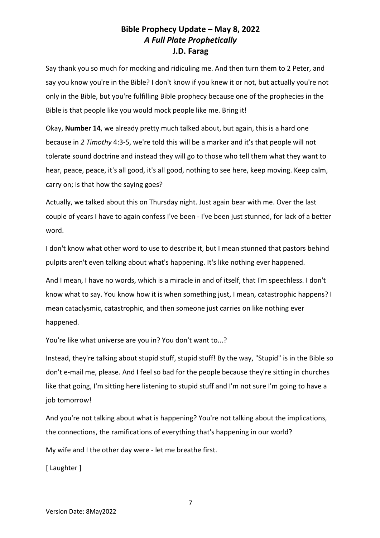Say thank you so much for mocking and ridiculing me. And then turn them to 2 Peter, and say you know you're in the Bible? I don't know if you knew it or not, but actually you're not only in the Bible, but you're fulfilling Bible prophecy because one of the prophecies in the Bible is that people like you would mock people like me. Bring it!

Okay, **Number 14**, we already pretty much talked about, but again, this is a hard one because in *2 Timothy* 4:3-5, we're told this will be a marker and it's that people will not tolerate sound doctrine and instead they will go to those who tell them what they want to hear, peace, peace, it's all good, it's all good, nothing to see here, keep moving. Keep calm, carry on; is that how the saying goes?

Actually, we talked about this on Thursday night. Just again bear with me. Over the last couple of years I have to again confess I've been - I've been just stunned, for lack of a better word.

I don't know what other word to use to describe it, but I mean stunned that pastors behind pulpits aren't even talking about what's happening. It's like nothing ever happened.

And I mean, I have no words, which is a miracle in and of itself, that I'm speechless. I don't know what to say. You know how it is when something just, I mean, catastrophic happens? I mean cataclysmic, catastrophic, and then someone just carries on like nothing ever happened.

You're like what universe are you in? You don't want to...?

Instead, they're talking about stupid stuff, stupid stuff! By the way, "Stupid" is in the Bible so don't e-mail me, please. And I feel so bad for the people because they're sitting in churches like that going, I'm sitting here listening to stupid stuff and I'm not sure I'm going to have a job tomorrow!

And you're not talking about what is happening? You're not talking about the implications, the connections, the ramifications of everything that's happening in our world?

My wife and I the other day were - let me breathe first.

[ Laughter ]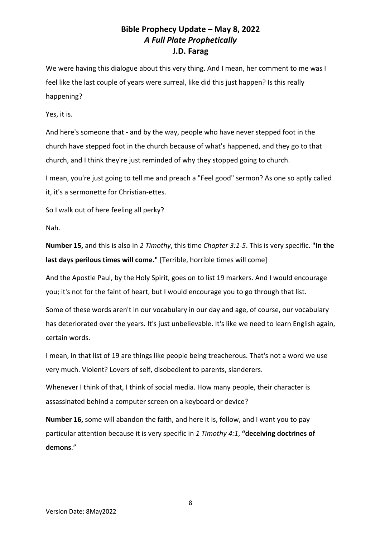We were having this dialogue about this very thing. And I mean, her comment to me was I feel like the last couple of years were surreal, like did this just happen? Is this really happening?

Yes, it is.

And here's someone that - and by the way, people who have never stepped foot in the church have stepped foot in the church because of what's happened, and they go to that church, and I think they're just reminded of why they stopped going to church.

I mean, you're just going to tell me and preach a "Feel good" sermon? As one so aptly called it, it's a sermonette for Christian-ettes.

So I walk out of here feeling all perky?

Nah.

**Number 15,** and this is also in *2 Timothy*, this time *Chapter 3:1-5*. This is very specific. **"In the last days perilous times will come."** [Terrible, horrible times will come]

And the Apostle Paul, by the Holy Spirit, goes on to list 19 markers. And I would encourage you; it's not for the faint of heart, but I would encourage you to go through that list.

Some of these words aren't in our vocabulary in our day and age, of course, our vocabulary has deteriorated over the years. It's just unbelievable. It's like we need to learn English again, certain words.

I mean, in that list of 19 are things like people being treacherous. That's not a word we use very much. Violent? Lovers of self, disobedient to parents, slanderers.

Whenever I think of that, I think of social media. How many people, their character is assassinated behind a computer screen on a keyboard or device?

**Number 16,** some will abandon the faith, and here it is, follow, and I want you to pay particular attention because it is very specific in *1 Timothy 4:1*, **"deceiving doctrines of demons**."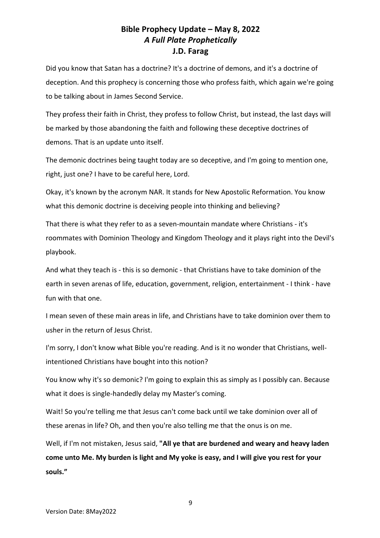Did you know that Satan has a doctrine? It's a doctrine of demons, and it's a doctrine of deception. And this prophecy is concerning those who profess faith, which again we're going to be talking about in James Second Service.

They profess their faith in Christ, they profess to follow Christ, but instead, the last days will be marked by those abandoning the faith and following these deceptive doctrines of demons. That is an update unto itself.

The demonic doctrines being taught today are so deceptive, and I'm going to mention one, right, just one? I have to be careful here, Lord.

Okay, it's known by the acronym NAR. It stands for New Apostolic Reformation. You know what this demonic doctrine is deceiving people into thinking and believing?

That there is what they refer to as a seven-mountain mandate where Christians - it's roommates with Dominion Theology and Kingdom Theology and it plays right into the Devil's playbook.

And what they teach is - this is so demonic - that Christians have to take dominion of the earth in seven arenas of life, education, government, religion, entertainment - I think - have fun with that one.

I mean seven of these main areas in life, and Christians have to take dominion over them to usher in the return of Jesus Christ.

I'm sorry, I don't know what Bible you're reading. And is it no wonder that Christians, wellintentioned Christians have bought into this notion?

You know why it's so demonic? I'm going to explain this as simply as I possibly can. Because what it does is single-handedly delay my Master's coming.

Wait! So you're telling me that Jesus can't come back until we take dominion over all of these arenas in life? Oh, and then you're also telling me that the onus is on me.

Well, if I'm not mistaken, Jesus said, **"All ye that are burdened and weary and heavy laden come unto Me. My burden is light and My yoke is easy, and I will give you rest for your souls."**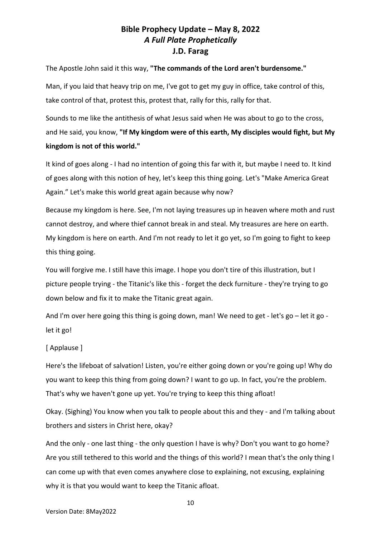The Apostle John said it this way, **"The commands of the Lord aren't burdensome."** 

Man, if you laid that heavy trip on me, I've got to get my guy in office, take control of this, take control of that, protest this, protest that, rally for this, rally for that.

Sounds to me like the antithesis of what Jesus said when He was about to go to the cross, and He said, you know, **"If My kingdom were of this earth, My disciples would fight, but My kingdom is not of this world."** 

It kind of goes along - I had no intention of going this far with it, but maybe I need to. It kind of goes along with this notion of hey, let's keep this thing going. Let's "Make America Great Again." Let's make this world great again because why now?

Because my kingdom is here. See, I'm not laying treasures up in heaven where moth and rust cannot destroy, and where thief cannot break in and steal. My treasures are here on earth. My kingdom is here on earth. And I'm not ready to let it go yet, so I'm going to fight to keep this thing going.

You will forgive me. I still have this image. I hope you don't tire of this illustration, but I picture people trying - the Titanic's like this - forget the deck furniture - they're trying to go down below and fix it to make the Titanic great again.

And I'm over here going this thing is going down, man! We need to get - let's go – let it go let it go!

## [ Applause ]

Here's the lifeboat of salvation! Listen, you're either going down or you're going up! Why do you want to keep this thing from going down? I want to go up. In fact, you're the problem. That's why we haven't gone up yet. You're trying to keep this thing afloat!

Okay. (Sighing) You know when you talk to people about this and they - and I'm talking about brothers and sisters in Christ here, okay?

And the only - one last thing - the only question I have is why? Don't you want to go home? Are you still tethered to this world and the things of this world? I mean that's the only thing I can come up with that even comes anywhere close to explaining, not excusing, explaining why it is that you would want to keep the Titanic afloat.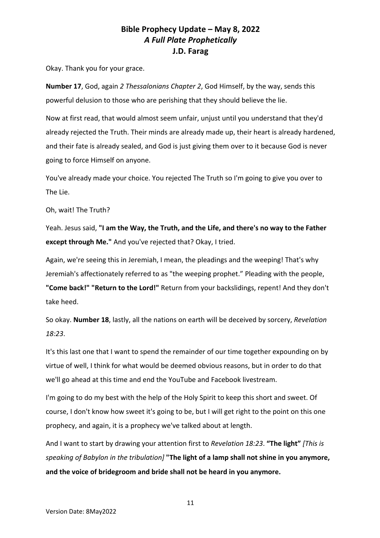Okay. Thank you for your grace.

**Number 17**, God, again *2 Thessalonians Chapter 2*, God Himself, by the way, sends this powerful delusion to those who are perishing that they should believe the lie.

Now at first read, that would almost seem unfair, unjust until you understand that they'd already rejected the Truth. Their minds are already made up, their heart is already hardened, and their fate is already sealed, and God is just giving them over to it because God is never going to force Himself on anyone.

You've already made your choice. You rejected The Truth so I'm going to give you over to The Lie.

Oh, wait! The Truth?

Yeah. Jesus said, **"I am the Way, the Truth, and the Life, and there's no way to the Father except through Me."** And you've rejected that? Okay, I tried.

Again, we're seeing this in Jeremiah, I mean, the pleadings and the weeping! That's why Jeremiah's affectionately referred to as "the weeping prophet." Pleading with the people, **"Come back!" "Return to the Lord!"** Return from your backslidings, repent! And they don't take heed.

So okay. **Number 18**, lastly, all the nations on earth will be deceived by sorcery, *Revelation 18:23*.

It's this last one that I want to spend the remainder of our time together expounding on by virtue of well, I think for what would be deemed obvious reasons, but in order to do that we'll go ahead at this time and end the YouTube and Facebook livestream.

I'm going to do my best with the help of the Holy Spirit to keep this short and sweet. Of course, I don't know how sweet it's going to be, but I will get right to the point on this one prophecy, and again, it is a prophecy we've talked about at length.

And I want to start by drawing your attention first to *Revelation 18:23*. **"The light"** *[This is speaking of Babylon in the tribulation]* **"The light of a lamp shall not shine in you anymore, and the voice of bridegroom and bride shall not be heard in you anymore.**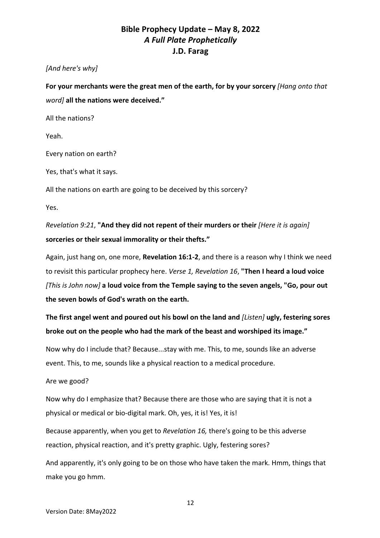## *[And here's why]*

**For your merchants were the great men of the earth, for by your sorcery** *[Hang onto that word]* **all the nations were deceived."**

All the nations?

Yeah.

Every nation on earth?

Yes, that's what it says.

All the nations on earth are going to be deceived by this sorcery?

Yes.

*Revelation 9:21*, **"And they did not repent of their murders or their** *[Here it is again]* **sorceries or their sexual immorality or their thefts."**

Again, just hang on, one more, **Revelation 16:1-2**, and there is a reason why I think we need to revisit this particular prophecy here. *Verse 1, Revelation 16*, **"Then I heard a loud voice** *[This is John now]* **a loud voice from the Temple saying to the seven angels, "Go, pour out the seven bowls of God's wrath on the earth.** 

**The first angel went and poured out his bowl on the land and** *[Listen]* **ugly, festering sores broke out on the people who had the mark of the beast and worshiped its image."**

Now why do I include that? Because...stay with me. This, to me, sounds like an adverse event. This, to me, sounds like a physical reaction to a medical procedure.

Are we good?

Now why do I emphasize that? Because there are those who are saying that it is not a physical or medical or bio-digital mark. Oh, yes, it is! Yes, it is!

Because apparently, when you get to *Revelation 16,* there's going to be this adverse reaction, physical reaction, and it's pretty graphic. Ugly, festering sores?

And apparently, it's only going to be on those who have taken the mark. Hmm, things that make you go hmm.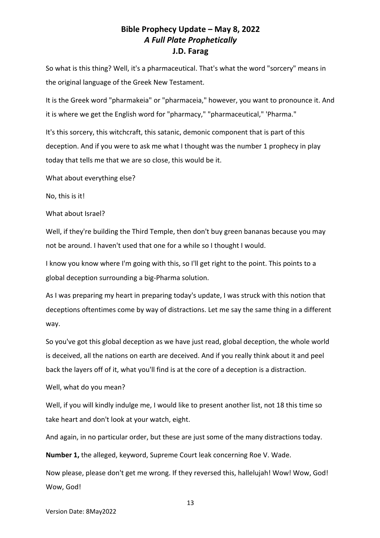So what is this thing? Well, it's a pharmaceutical. That's what the word "sorcery" means in the original language of the Greek New Testament.

It is the Greek word "pharmakeia" or "pharmaceia," however, you want to pronounce it. And it is where we get the English word for "pharmacy," "pharmaceutical," 'Pharma."

It's this sorcery, this witchcraft, this satanic, demonic component that is part of this deception. And if you were to ask me what I thought was the number 1 prophecy in play today that tells me that we are so close, this would be it.

What about everything else?

No, this is it!

What about Israel?

Well, if they're building the Third Temple, then don't buy green bananas because you may not be around. I haven't used that one for a while so I thought I would.

I know you know where I'm going with this, so I'll get right to the point. This points to a global deception surrounding a big-Pharma solution.

As I was preparing my heart in preparing today's update, I was struck with this notion that deceptions oftentimes come by way of distractions. Let me say the same thing in a different way.

So you've got this global deception as we have just read, global deception, the whole world is deceived, all the nations on earth are deceived. And if you really think about it and peel back the layers off of it, what you'll find is at the core of a deception is a distraction.

Well, what do you mean?

Well, if you will kindly indulge me, I would like to present another list, not 18 this time so take heart and don't look at your watch, eight.

And again, in no particular order, but these are just some of the many distractions today.

**Number 1,** the alleged, keyword, Supreme Court leak concerning Roe V. Wade.

Now please, please don't get me wrong. If they reversed this, hallelujah! Wow! Wow, God! Wow, God!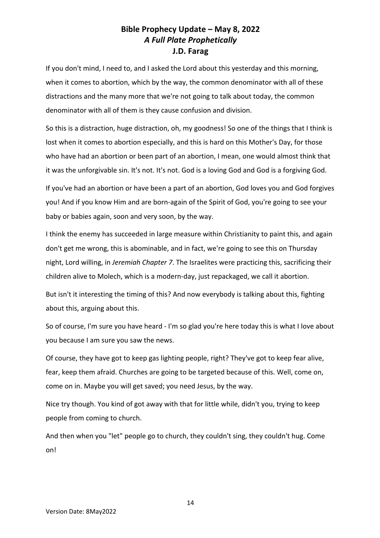If you don't mind, I need to, and I asked the Lord about this yesterday and this morning, when it comes to abortion, which by the way, the common denominator with all of these distractions and the many more that we're not going to talk about today, the common denominator with all of them is they cause confusion and division.

So this is a distraction, huge distraction, oh, my goodness! So one of the things that I think is lost when it comes to abortion especially, and this is hard on this Mother's Day, for those who have had an abortion or been part of an abortion, I mean, one would almost think that it was the unforgivable sin. It's not. It's not. God is a loving God and God is a forgiving God.

If you've had an abortion or have been a part of an abortion, God loves you and God forgives you! And if you know Him and are born-again of the Spirit of God, you're going to see your baby or babies again, soon and very soon, by the way.

I think the enemy has succeeded in large measure within Christianity to paint this, and again don't get me wrong, this is abominable, and in fact, we're going to see this on Thursday night, Lord willing, in *Jeremiah Chapter 7*. The Israelites were practicing this, sacrificing their children alive to Molech, which is a modern-day, just repackaged, we call it abortion.

But isn't it interesting the timing of this? And now everybody is talking about this, fighting about this, arguing about this.

So of course, I'm sure you have heard - I'm so glad you're here today this is what I love about you because I am sure you saw the news.

Of course, they have got to keep gas lighting people, right? They've got to keep fear alive, fear, keep them afraid. Churches are going to be targeted because of this. Well, come on, come on in. Maybe you will get saved; you need Jesus, by the way.

Nice try though. You kind of got away with that for little while, didn't you, trying to keep people from coming to church.

And then when you "let" people go to church, they couldn't sing, they couldn't hug. Come on!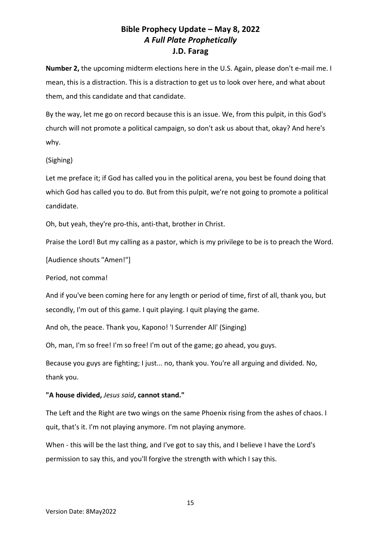**Number 2,** the upcoming midterm elections here in the U.S. Again, please don't e-mail me. I mean, this is a distraction. This is a distraction to get us to look over here, and what about them, and this candidate and that candidate.

By the way, let me go on record because this is an issue. We, from this pulpit, in this God's church will not promote a political campaign, so don't ask us about that, okay? And here's why.

### (Sighing)

Let me preface it; if God has called you in the political arena, you best be found doing that which God has called you to do. But from this pulpit, we're not going to promote a political candidate.

Oh, but yeah, they're pro-this, anti-that, brother in Christ.

Praise the Lord! But my calling as a pastor, which is my privilege to be is to preach the Word.

[Audience shouts "Amen!"]

Period, not comma!

And if you've been coming here for any length or period of time, first of all, thank you, but secondly, I'm out of this game. I quit playing. I quit playing the game.

And oh, the peace. Thank you, Kapono! 'I Surrender All' (Singing)

Oh, man, I'm so free! I'm so free! I'm out of the game; go ahead, you guys.

Because you guys are fighting; I just... no, thank you. You're all arguing and divided. No, thank you.

### **"A house divided,** *Jesus said***, cannot stand."**

The Left and the Right are two wings on the same Phoenix rising from the ashes of chaos. I quit, that's it. I'm not playing anymore. I'm not playing anymore.

When - this will be the last thing, and I've got to say this, and I believe I have the Lord's permission to say this, and you'll forgive the strength with which I say this.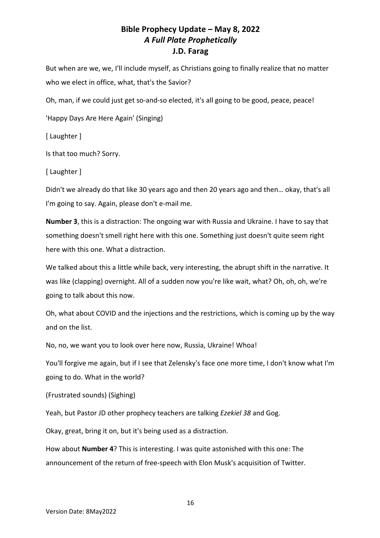But when are we, we, I'll include myself, as Christians going to finally realize that no matter who we elect in office, what, that's the Savior?

Oh, man, if we could just get so-and-so elected, it's all going to be good, peace, peace!

'Happy Days Are Here Again' (Singing)

[ Laughter ]

Is that too much? Sorry.

[ Laughter ]

Didn't we already do that like 30 years ago and then 20 years ago and then… okay, that's all I'm going to say. Again, please don't e-mail me.

**Number 3**, this is a distraction: The ongoing war with Russia and Ukraine. I have to say that something doesn't smell right here with this one. Something just doesn't quite seem right here with this one. What a distraction.

We talked about this a little while back, very interesting, the abrupt shift in the narrative. It was like (clapping) overnight. All of a sudden now you're like wait, what? Oh, oh, oh, we're going to talk about this now.

Oh, what about COVID and the injections and the restrictions, which is coming up by the way and on the list.

No, no, we want you to look over here now, Russia, Ukraine! Whoa!

You'll forgive me again, but if I see that Zelensky's face one more time, I don't know what I'm going to do. What in the world?

(Frustrated sounds) (Sighing)

Yeah, but Pastor JD other prophecy teachers are talking *Ezekiel 38* and Gog.

Okay, great, bring it on, but it's being used as a distraction.

How about **Number 4**? This is interesting. I was quite astonished with this one: The announcement of the return of free-speech with Elon Musk's acquisition of Twitter.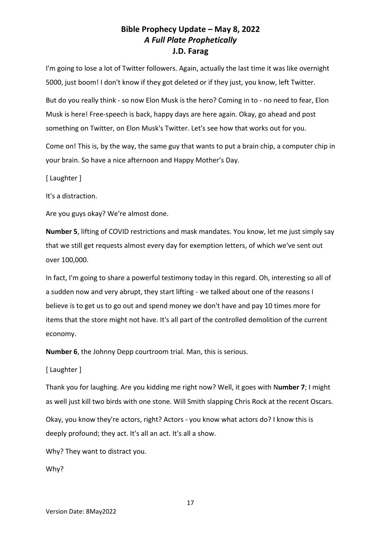I'm going to lose a lot of Twitter followers. Again, actually the last time it was like overnight 5000, just boom! I don't know if they got deleted or if they just, you know, left Twitter.

But do you really think - so now Elon Musk is the hero? Coming in to - no need to fear, Elon Musk is here! Free-speech is back, happy days are here again. Okay, go ahead and post something on Twitter, on Elon Musk's Twitter. Let's see how that works out for you.

Come on! This is, by the way, the same guy that wants to put a brain chip, a computer chip in your brain. So have a nice afternoon and Happy Mother's Day.

[ Laughter ]

It's a distraction.

Are you guys okay? We're almost done.

**Number 5**, lifting of COVID restrictions and mask mandates. You know, let me just simply say that we still get requests almost every day for exemption letters, of which we've sent out over 100,000.

In fact, I'm going to share a powerful testimony today in this regard. Oh, interesting so all of a sudden now and very abrupt, they start lifting - we talked about one of the reasons I believe is to get us to go out and spend money we don't have and pay 10 times more for items that the store might not have. It's all part of the controlled demolition of the current economy.

**Number 6**, the Johnny Depp courtroom trial. Man, this is serious.

[ Laughter ]

Thank you for laughing. Are you kidding me right now? Well, it goes with N**umber 7**; I might as well just kill two birds with one stone. Will Smith slapping Chris Rock at the recent Oscars.

Okay, you know they're actors, right? Actors - you know what actors do? I know this is deeply profound; they act. It's all an act. It's all a show.

Why? They want to distract you.

Why?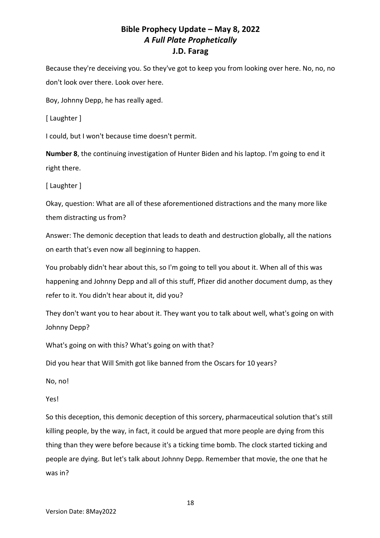Because they're deceiving you. So they've got to keep you from looking over here. No, no, no don't look over there. Look over here.

Boy, Johnny Depp, he has really aged.

[ Laughter ]

I could, but I won't because time doesn't permit.

**Number 8**, the continuing investigation of Hunter Biden and his laptop. I'm going to end it right there.

[ Laughter ]

Okay, question: What are all of these aforementioned distractions and the many more like them distracting us from?

Answer: The demonic deception that leads to death and destruction globally, all the nations on earth that's even now all beginning to happen.

You probably didn't hear about this, so I'm going to tell you about it. When all of this was happening and Johnny Depp and all of this stuff, Pfizer did another document dump, as they refer to it. You didn't hear about it, did you?

They don't want you to hear about it. They want you to talk about well, what's going on with Johnny Depp?

What's going on with this? What's going on with that?

Did you hear that Will Smith got like banned from the Oscars for 10 years?

No, no!

Yes!

So this deception, this demonic deception of this sorcery, pharmaceutical solution that's still killing people, by the way, in fact, it could be argued that more people are dying from this thing than they were before because it's a ticking time bomb. The clock started ticking and people are dying. But let's talk about Johnny Depp. Remember that movie, the one that he was in?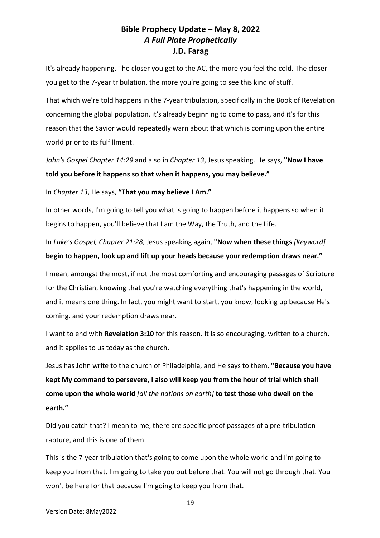It's already happening. The closer you get to the AC, the more you feel the cold. The closer you get to the 7-year tribulation, the more you're going to see this kind of stuff.

That which we're told happens in the 7-year tribulation, specifically in the Book of Revelation concerning the global population, it's already beginning to come to pass, and it's for this reason that the Savior would repeatedly warn about that which is coming upon the entire world prior to its fulfillment.

*John's Gospel Chapter 14:29* and also in *Chapter 13*, Jesus speaking. He says, **"Now I have told you before it happens so that when it happens, you may believe."**

In *Chapter 13*, He says, **"That you may believe I Am."**

In other words, I'm going to tell you what is going to happen before it happens so when it begins to happen, you'll believe that I am the Way, the Truth, and the Life.

In *Luke's Gospel, Chapter 21:28*, Jesus speaking again, **"Now when these things** *[Keyword]* **begin to happen, look up and lift up your heads because your redemption draws near."**

I mean, amongst the most, if not the most comforting and encouraging passages of Scripture for the Christian, knowing that you're watching everything that's happening in the world, and it means one thing. In fact, you might want to start, you know, looking up because He's coming, and your redemption draws near.

I want to end with **Revelation 3:10** for this reason. It is so encouraging, written to a church, and it applies to us today as the church.

Jesus has John write to the church of Philadelphia, and He says to them, **"Because you have kept My command to persevere, I also will keep you from the hour of trial which shall come upon the whole world** *[all the nations on earth]* **to test those who dwell on the earth."** 

Did you catch that? I mean to me, there are specific proof passages of a pre-tribulation rapture, and this is one of them.

This is the 7-year tribulation that's going to come upon the whole world and I'm going to keep you from that. I'm going to take you out before that. You will not go through that. You won't be here for that because I'm going to keep you from that.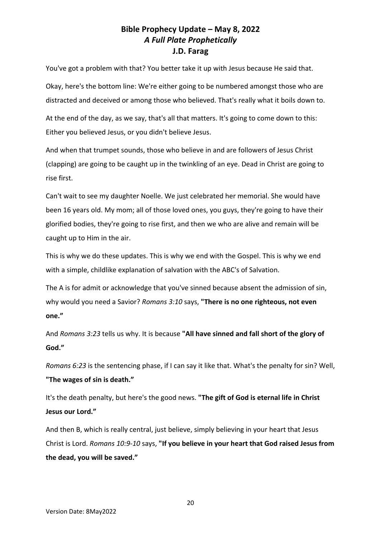You've got a problem with that? You better take it up with Jesus because He said that.

Okay, here's the bottom line: We're either going to be numbered amongst those who are distracted and deceived or among those who believed. That's really what it boils down to.

At the end of the day, as we say, that's all that matters. It's going to come down to this: Either you believed Jesus, or you didn't believe Jesus.

And when that trumpet sounds, those who believe in and are followers of Jesus Christ (clapping) are going to be caught up in the twinkling of an eye. Dead in Christ are going to rise first.

Can't wait to see my daughter Noelle. We just celebrated her memorial. She would have been 16 years old. My mom; all of those loved ones, you guys, they're going to have their glorified bodies, they're going to rise first, and then we who are alive and remain will be caught up to Him in the air.

This is why we do these updates. This is why we end with the Gospel. This is why we end with a simple, childlike explanation of salvation with the ABC's of Salvation.

The A is for admit or acknowledge that you've sinned because absent the admission of sin, why would you need a Savior? *Romans 3:10* says, **"There is no one righteous, not even one."**

And *Romans 3:23* tells us why. It is because **"All have sinned and fall short of the glory of God."**

*Romans 6:23* is the sentencing phase, if I can say it like that. What's the penalty for sin? Well, **"The wages of sin is death."**

It's the death penalty, but here's the good news. **"The gift of God is eternal life in Christ Jesus our Lord."**

And then B, which is really central, just believe, simply believing in your heart that Jesus Christ is Lord. *Romans 10:9-10* says, **"If you believe in your heart that God raised Jesus from the dead, you will be saved."**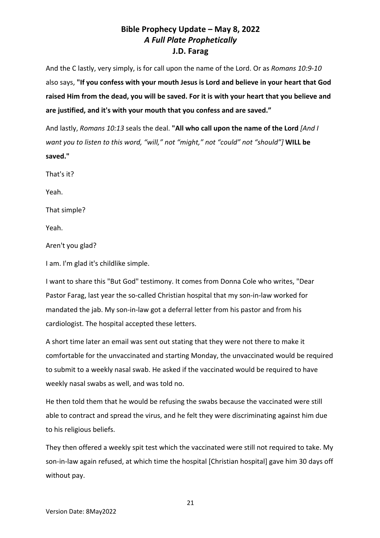And the C lastly, very simply, is for call upon the name of the Lord. Or as *Romans 10:9-10* also says, **"If you confess with your mouth Jesus is Lord and believe in your heart that God raised Him from the dead, you will be saved. For it is with your heart that you believe and are justified, and it's with your mouth that you confess and are saved."**

And lastly, *Romans 10:13* seals the deal. **"All who call upon the name of the Lord** *[And I want you to listen to this word, "will," not "might," not "could" not "should"]* **WILL be saved."**

That's it?

Yeah.

That simple?

Yeah.

Aren't you glad?

I am. I'm glad it's childlike simple.

I want to share this "But God" testimony. It comes from Donna Cole who writes, "Dear Pastor Farag, last year the so-called Christian hospital that my son-in-law worked for mandated the jab. My son-in-law got a deferral letter from his pastor and from his cardiologist. The hospital accepted these letters.

A short time later an email was sent out stating that they were not there to make it comfortable for the unvaccinated and starting Monday, the unvaccinated would be required to submit to a weekly nasal swab. He asked if the vaccinated would be required to have weekly nasal swabs as well, and was told no.

He then told them that he would be refusing the swabs because the vaccinated were still able to contract and spread the virus, and he felt they were discriminating against him due to his religious beliefs.

They then offered a weekly spit test which the vaccinated were still not required to take. My son-in-law again refused, at which time the hospital [Christian hospital] gave him 30 days off without pay.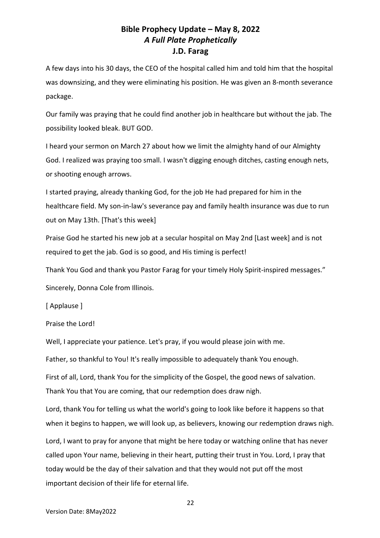A few days into his 30 days, the CEO of the hospital called him and told him that the hospital was downsizing, and they were eliminating his position. He was given an 8-month severance package.

Our family was praying that he could find another job in healthcare but without the jab. The possibility looked bleak. BUT GOD.

I heard your sermon on March 27 about how we limit the almighty hand of our Almighty God. I realized was praying too small. I wasn't digging enough ditches, casting enough nets, or shooting enough arrows.

I started praying, already thanking God, for the job He had prepared for him in the healthcare field. My son-in-law's severance pay and family health insurance was due to run out on May 13th. [That's this week]

Praise God he started his new job at a secular hospital on May 2nd [Last week] and is not required to get the jab. God is so good, and His timing is perfect!

Thank You God and thank you Pastor Farag for your timely Holy Spirit-inspired messages."

Sincerely, Donna Cole from Illinois.

[ Applause ]

Praise the Lord!

Well, I appreciate your patience. Let's pray, if you would please join with me.

Father, so thankful to You! It's really impossible to adequately thank You enough.

First of all, Lord, thank You for the simplicity of the Gospel, the good news of salvation. Thank You that You are coming, that our redemption does draw nigh.

Lord, thank You for telling us what the world's going to look like before it happens so that when it begins to happen, we will look up, as believers, knowing our redemption draws nigh.

Lord, I want to pray for anyone that might be here today or watching online that has never called upon Your name, believing in their heart, putting their trust in You. Lord, I pray that today would be the day of their salvation and that they would not put off the most important decision of their life for eternal life.